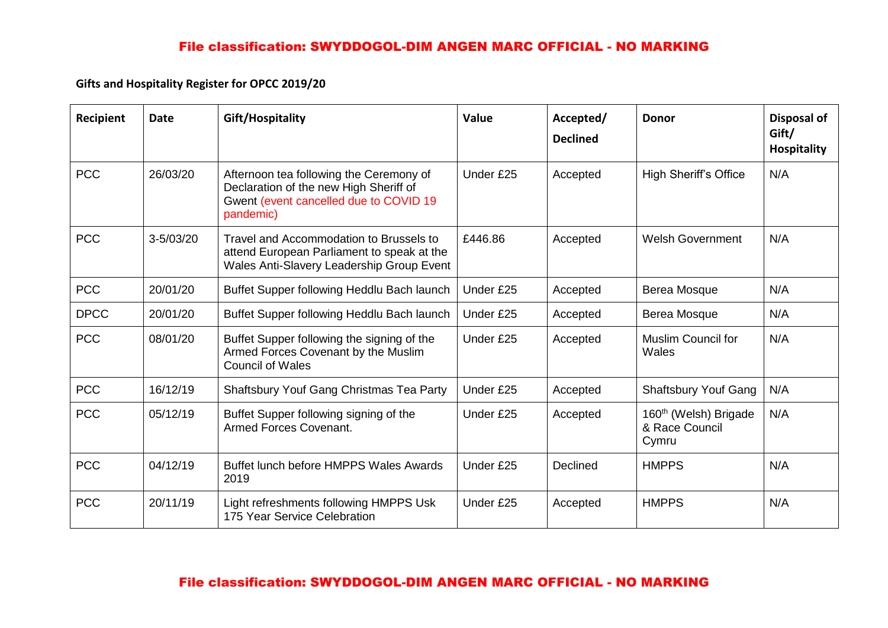# File classification: SWYDDOGOL-DIM ANGEN MARC OFFICIAL - NO MARKING

**Gifts and Hospitality Register for OPCC 2019/20**

| Recipient   | <b>Date</b>   | Gift/Hospitality                                                                                                                         | Value     | Accepted/<br><b>Declined</b> | <b>Donor</b>                                                 | Disposal of<br>Gift/<br><b>Hospitality</b> |
|-------------|---------------|------------------------------------------------------------------------------------------------------------------------------------------|-----------|------------------------------|--------------------------------------------------------------|--------------------------------------------|
| <b>PCC</b>  | 26/03/20      | Afternoon tea following the Ceremony of<br>Declaration of the new High Sheriff of<br>Gwent (event cancelled due to COVID 19<br>pandemic) | Under £25 | Accepted                     | <b>High Sheriff's Office</b>                                 | N/A                                        |
| <b>PCC</b>  | $3 - 5/03/20$ | Travel and Accommodation to Brussels to<br>attend European Parliament to speak at the<br>Wales Anti-Slavery Leadership Group Event       | £446.86   | Accepted                     | <b>Welsh Government</b>                                      | N/A                                        |
| <b>PCC</b>  | 20/01/20      | Buffet Supper following Heddlu Bach launch                                                                                               | Under £25 | Accepted                     | Berea Mosque                                                 | N/A                                        |
| <b>DPCC</b> | 20/01/20      | Buffet Supper following Heddlu Bach launch                                                                                               | Under £25 | Accepted                     | Berea Mosque                                                 | N/A                                        |
| <b>PCC</b>  | 08/01/20      | Buffet Supper following the signing of the<br>Armed Forces Covenant by the Muslim<br><b>Council of Wales</b>                             | Under £25 | Accepted                     | <b>Muslim Council for</b><br>Wales                           | N/A                                        |
| <b>PCC</b>  | 16/12/19      | <b>Shaftsbury Youf Gang Christmas Tea Party</b>                                                                                          | Under £25 | Accepted                     | <b>Shaftsbury Youf Gang</b>                                  | N/A                                        |
| <b>PCC</b>  | 05/12/19      | Buffet Supper following signing of the<br>Armed Forces Covenant.                                                                         | Under £25 | Accepted                     | 160 <sup>th</sup> (Welsh) Brigade<br>& Race Council<br>Cymru | N/A                                        |
| <b>PCC</b>  | 04/12/19      | Buffet lunch before HMPPS Wales Awards<br>2019                                                                                           | Under £25 | <b>Declined</b>              | <b>HMPPS</b>                                                 | N/A                                        |
| <b>PCC</b>  | 20/11/19      | Light refreshments following HMPPS Usk<br>175 Year Service Celebration                                                                   | Under £25 | Accepted                     | <b>HMPPS</b>                                                 | N/A                                        |

# File classification: SWYDDOGOL-DIM ANGEN MARC OFFICIAL - NO MARKING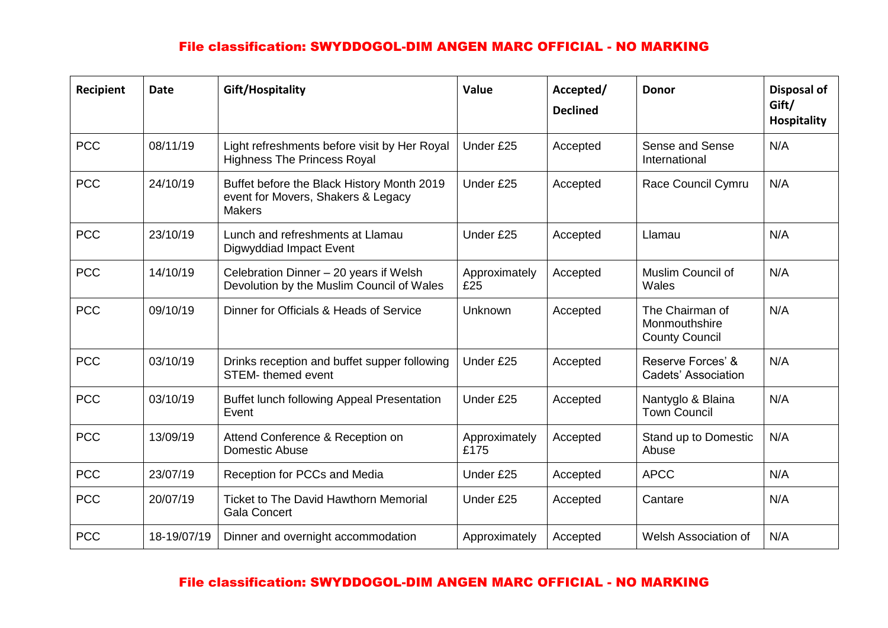# File classification: SWYDDOGOL-DIM ANGEN MARC OFFICIAL - NO MARKING

| Recipient  | <b>Date</b> | Gift/Hospitality                                                                                  | Value                 | Accepted/<br><b>Declined</b> | <b>Donor</b>                                              | <b>Disposal of</b><br>Gift/<br><b>Hospitality</b> |
|------------|-------------|---------------------------------------------------------------------------------------------------|-----------------------|------------------------------|-----------------------------------------------------------|---------------------------------------------------|
| <b>PCC</b> | 08/11/19    | Light refreshments before visit by Her Royal<br><b>Highness The Princess Royal</b>                | Under £25             | Accepted                     | Sense and Sense<br>International                          | N/A                                               |
| <b>PCC</b> | 24/10/19    | Buffet before the Black History Month 2019<br>event for Movers, Shakers & Legacy<br><b>Makers</b> | Under £25             | Accepted                     | Race Council Cymru                                        | N/A                                               |
| <b>PCC</b> | 23/10/19    | Lunch and refreshments at Llamau<br>Digwyddiad Impact Event                                       | Under £25             | Accepted                     | Llamau                                                    | N/A                                               |
| <b>PCC</b> | 14/10/19    | Celebration Dinner - 20 years if Welsh<br>Devolution by the Muslim Council of Wales               | Approximately<br>£25  | Accepted                     | Muslim Council of<br>Wales                                | N/A                                               |
| <b>PCC</b> | 09/10/19    | Dinner for Officials & Heads of Service                                                           | Unknown               | Accepted                     | The Chairman of<br>Monmouthshire<br><b>County Council</b> | N/A                                               |
| <b>PCC</b> | 03/10/19    | Drinks reception and buffet supper following<br><b>STEM-</b> themed event                         | Under £25             | Accepted                     | Reserve Forces' &<br>Cadets' Association                  | N/A                                               |
| <b>PCC</b> | 03/10/19    | Buffet lunch following Appeal Presentation<br>Event                                               | Under £25             | Accepted                     | Nantyglo & Blaina<br><b>Town Council</b>                  | N/A                                               |
| <b>PCC</b> | 13/09/19    | Attend Conference & Reception on<br><b>Domestic Abuse</b>                                         | Approximately<br>£175 | Accepted                     | Stand up to Domestic<br>Abuse                             | N/A                                               |
| <b>PCC</b> | 23/07/19    | Reception for PCCs and Media                                                                      | Under £25             | Accepted                     | <b>APCC</b>                                               | N/A                                               |
| <b>PCC</b> | 20/07/19    | <b>Ticket to The David Hawthorn Memorial</b><br><b>Gala Concert</b>                               | Under £25             | Accepted                     | Cantare                                                   | N/A                                               |
| <b>PCC</b> | 18-19/07/19 | Dinner and overnight accommodation                                                                | Approximately         | Accepted                     | <b>Welsh Association of</b>                               | N/A                                               |

#### File classification: SWYDDOGOL-DIM ANGEN MARC OFFICIAL - NO MARKING